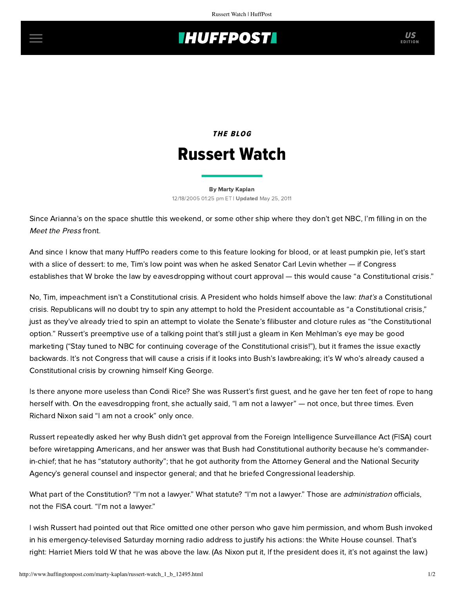# **INUFFPOSTI** US

## THE BLOG Russert Watch

#### [By Marty Kaplan](http://www.huffingtonpost.com/author/marty-kaplan) 12/18/2005 01:25 pm ET | Updated May 25, 2011

Since Arianna's on the space shuttle this weekend, or some other ship where they don't get NBC, I'm filling in on the Meet the Press front.

And since I know that many HuffPo readers come to this feature looking for blood, or at least pumpkin pie, let's start with a slice of dessert: to me, Tim's low point was when he asked Senator Carl Levin whether — if Congress establishes that W broke the law by eavesdropping without court approval — this would cause "a Constitutional crisis."

No, Tim, impeachment isn't a Constitutional crisis. A President who holds himself above the law: that's a Constitutional crisis. Republicans will no doubt try to spin any attempt to hold the President accountable as "a Constitutional crisis," just as they've already tried to spin an attempt to violate the Senate's filibuster and cloture rules as "the Constitutional option." Russert's preemptive use of a talking point that's still just a gleam in Ken Mehlman's eye may be good marketing ("Stay tuned to NBC for continuing coverage of the Constitutional crisis!"), but it frames the issue exactly backwards. It's not Congress that will cause a crisis if it looks into Bush's lawbreaking; it's W who's already caused a Constitutional crisis by crowning himself King George.

Is there anyone more useless than Condi Rice? She was Russert's [first guest](http://www.msnbc.msn.com/id/10479765/), and he gave her ten feet of rope to hang herself with. On the eavesdropping front, she actually said, "I am not a lawyer" — not once, but three times. Even Richard Nixon said "I am not a crook" only once.

Russert repeatedly asked her why Bush didn't get approval from the Foreign Intelligence Surveillance Act (FISA) court before wiretapping Americans, and her answer was that Bush had Constitutional authority because he's commanderin-chief; that he has "statutory authority"; that he got authority from the Attorney General and the National Security Agency's general counsel and inspector general; and that he briefed Congressional leadership.

What part of the Constitution? "I'm not a lawyer." What statute? "I'm not a lawyer." Those are *administration* officials, not the FISA court. "I'm not a lawyer."

I wish Russert had pointed out that Rice omitted one other person who gave him permission, and whom Bush invoked in his emergency-televised Saturday morning radio address to justify his actions: the White House counsel. That's right: Harriet Miers told W that he was above the law. (As Nixon put it, If the president does it, it's not against the law.)